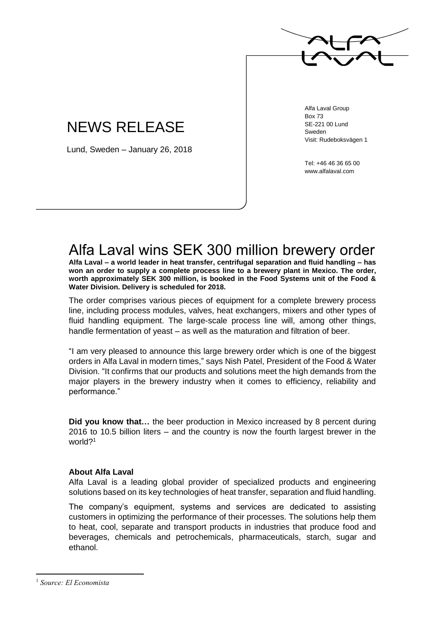

## NEWS RELEASE

Lund, Sweden – January 26, 2018

Alfa Laval Group Box 73 SE-221 00 Lund Sweden Visit: Rudeboksvägen 1

Tel: +46 46 36 65 00 www.alfalaval.com

## Alfa Laval wins SEK 300 million brewery order

**Alfa Laval – a world leader in heat transfer, centrifugal separation and fluid handling – has won an order to supply a complete process line to a brewery plant in Mexico. The order, worth approximately SEK 300 million, is booked in the Food Systems unit of the Food & Water Division. Delivery is scheduled for 2018.**

The order comprises various pieces of equipment for a complete brewery process line, including process modules, valves, heat exchangers, mixers and other types of fluid handling equipment. The large-scale process line will, among other things, handle fermentation of yeast – as well as the maturation and filtration of beer.

"I am very pleased to announce this large brewery order which is one of the biggest orders in Alfa Laval in modern times," says Nish Patel, President of the Food & Water Division. "It confirms that our products and solutions meet the high demands from the major players in the brewery industry when it comes to efficiency, reliability and performance."

**Did you know that…** the beer production in Mexico increased by 8 percent during 2016 to 10.5 billion liters – and the country is now the fourth largest brewer in the world?<sup>1</sup>

## **About Alfa Laval**

Alfa Laval is a leading global provider of specialized products and engineering solutions based on its key technologies of heat transfer, separation and fluid handling.

The company's equipment, systems and services are dedicated to assisting customers in optimizing the performance of their processes. The solutions help them to heat, cool, separate and transport products in industries that produce food and beverages, chemicals and petrochemicals, pharmaceuticals, starch, sugar and ethanol.

 $\overline{a}$ 

<sup>1</sup> *Source: El Economista*